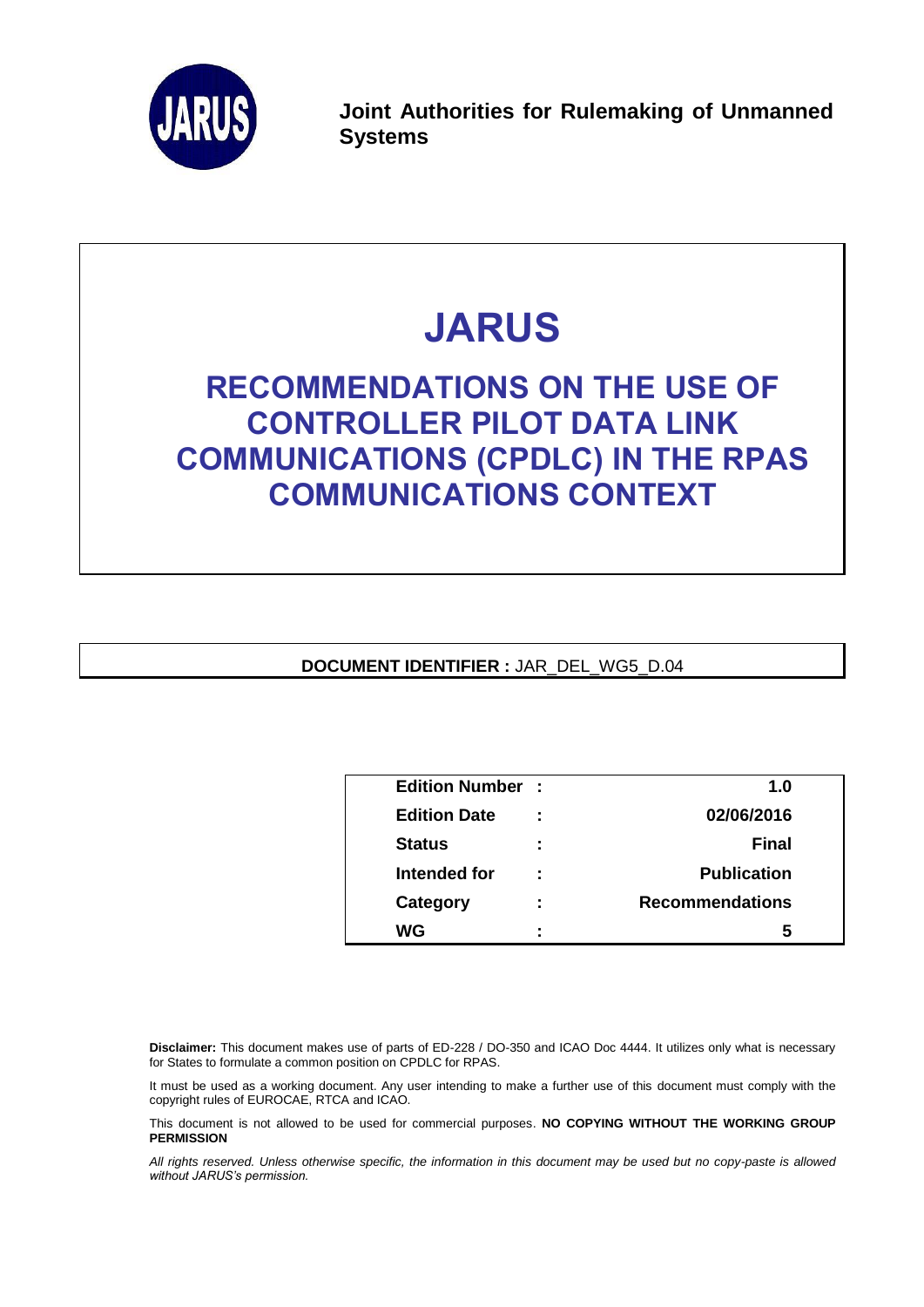

**Joint Authorities for Rulemaking of Unmanned Systems**

# **JARUS**

## **RECOMMENDATIONS ON THE USE OF CONTROLLER PILOT DATA LINK COMMUNICATIONS (CPDLC) IN THE RPAS COMMUNICATIONS CONTEXT**

**DOCUMENT IDENTIFIER :** JAR\_DEL\_WG5\_D.04

| <b>Edition Number:</b> |   | 1.0                    |  |
|------------------------|---|------------------------|--|
| <b>Edition Date</b>    |   | 02/06/2016             |  |
| <b>Status</b>          | ÷ | <b>Final</b>           |  |
| Intended for           | ÷ | <b>Publication</b>     |  |
| Category               | ÷ | <b>Recommendations</b> |  |
| WG                     | ٠ | h                      |  |

**Disclaimer:** This document makes use of parts of ED-228 / DO-350 and ICAO Doc 4444. It utilizes only what is necessary for States to formulate a common position on CPDLC for RPAS.

It must be used as a working document. Any user intending to make a further use of this document must comply with the copyright rules of EUROCAE, RTCA and ICAO.

This document is not allowed to be used for commercial purposes. **NO COPYING WITHOUT THE WORKING GROUP PERMISSION**

*All rights reserved. Unless otherwise specific, the information in this document may be used but no copy-paste is allowed without JARUS's permission.*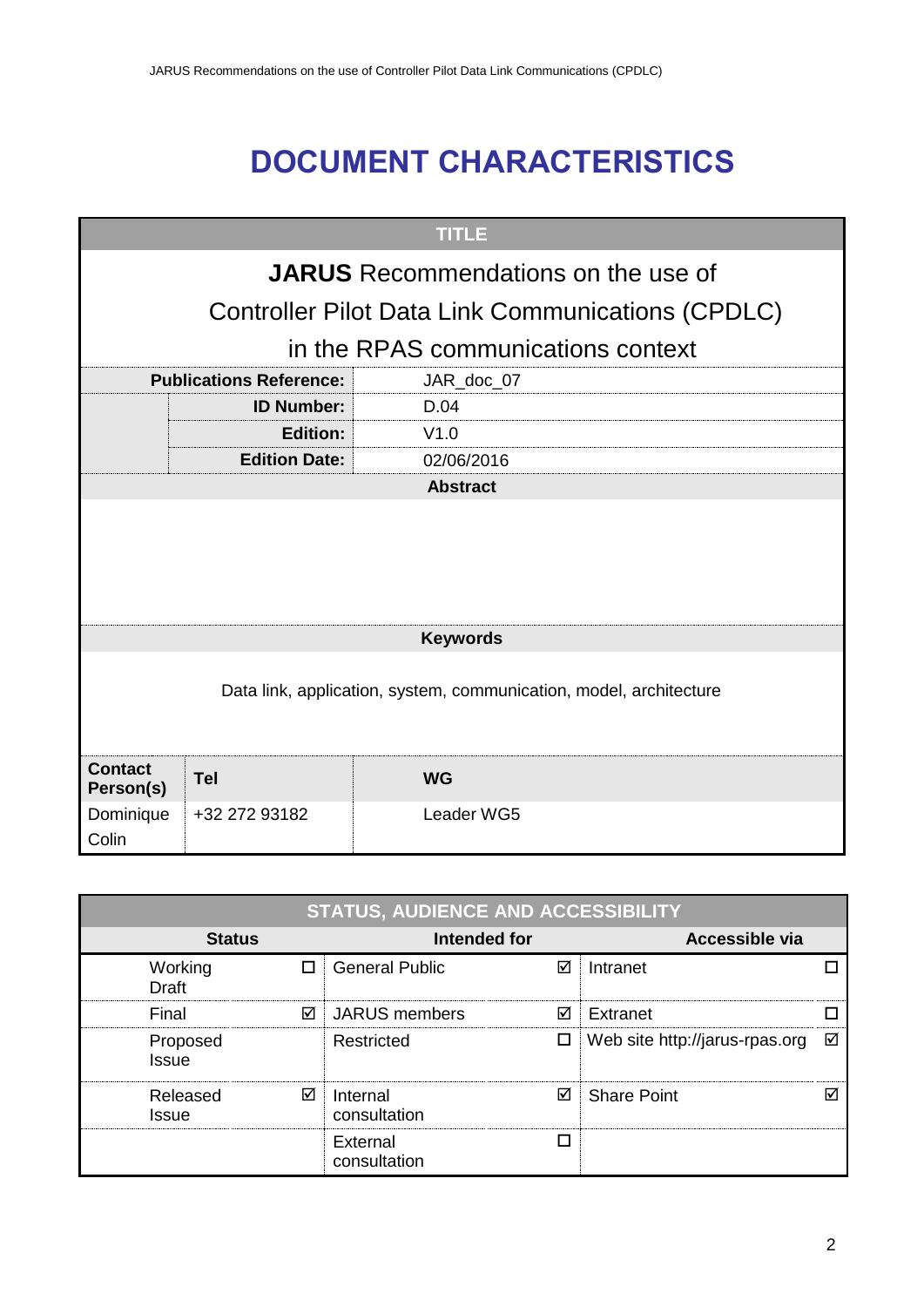## **DOCUMENT CHARACTERISTICS**

| <b>TITLE</b>                |                                                                    |                                                          |  |  |  |
|-----------------------------|--------------------------------------------------------------------|----------------------------------------------------------|--|--|--|
|                             | <b>JARUS</b> Recommendations on the use of                         |                                                          |  |  |  |
|                             |                                                                    | <b>Controller Pilot Data Link Communications (CPDLC)</b> |  |  |  |
|                             |                                                                    | in the RPAS communications context                       |  |  |  |
|                             | <b>Publications Reference:</b>                                     | JAR_doc_07                                               |  |  |  |
|                             | <b>ID Number:</b>                                                  | D.04                                                     |  |  |  |
|                             | <b>Edition:</b>                                                    | V1.0                                                     |  |  |  |
|                             | <b>Edition Date:</b>                                               | 02/06/2016                                               |  |  |  |
|                             | <b>Abstract</b>                                                    |                                                          |  |  |  |
|                             |                                                                    |                                                          |  |  |  |
|                             |                                                                    |                                                          |  |  |  |
|                             |                                                                    |                                                          |  |  |  |
|                             |                                                                    |                                                          |  |  |  |
|                             |                                                                    | <b>Keywords</b>                                          |  |  |  |
|                             |                                                                    |                                                          |  |  |  |
|                             | Data link, application, system, communication, model, architecture |                                                          |  |  |  |
|                             |                                                                    |                                                          |  |  |  |
|                             |                                                                    |                                                          |  |  |  |
| <b>Contact</b><br>Person(s) | <b>Tel</b>                                                         | <b>WG</b>                                                |  |  |  |
| Dominique                   | +32 272 93182                                                      | Leader WG5                                               |  |  |  |
| Colin                       |                                                                    |                                                          |  |  |  |

| <b>STATUS, AUDIENCE AND ACCESSIBILITY</b> |   |                               |  |                                |   |
|-------------------------------------------|---|-------------------------------|--|--------------------------------|---|
| <b>Status</b>                             |   | Intended for                  |  | Accessible via                 |   |
| Working<br>Draft                          |   | <b>General Public</b><br>☑    |  | Intranet                       |   |
| Final                                     | ☑ | ⊠<br><b>JARUS</b> members     |  | Extranet                       |   |
| Proposed<br>Issue                         |   | Restricted<br>□               |  | Web site http://jarus-rpas.org | ☑ |
| Released<br>Issue                         | ☑ | ⊠<br>Internal<br>consultation |  | <b>Share Point</b>             | ☑ |
|                                           |   | П<br>External<br>consultation |  |                                |   |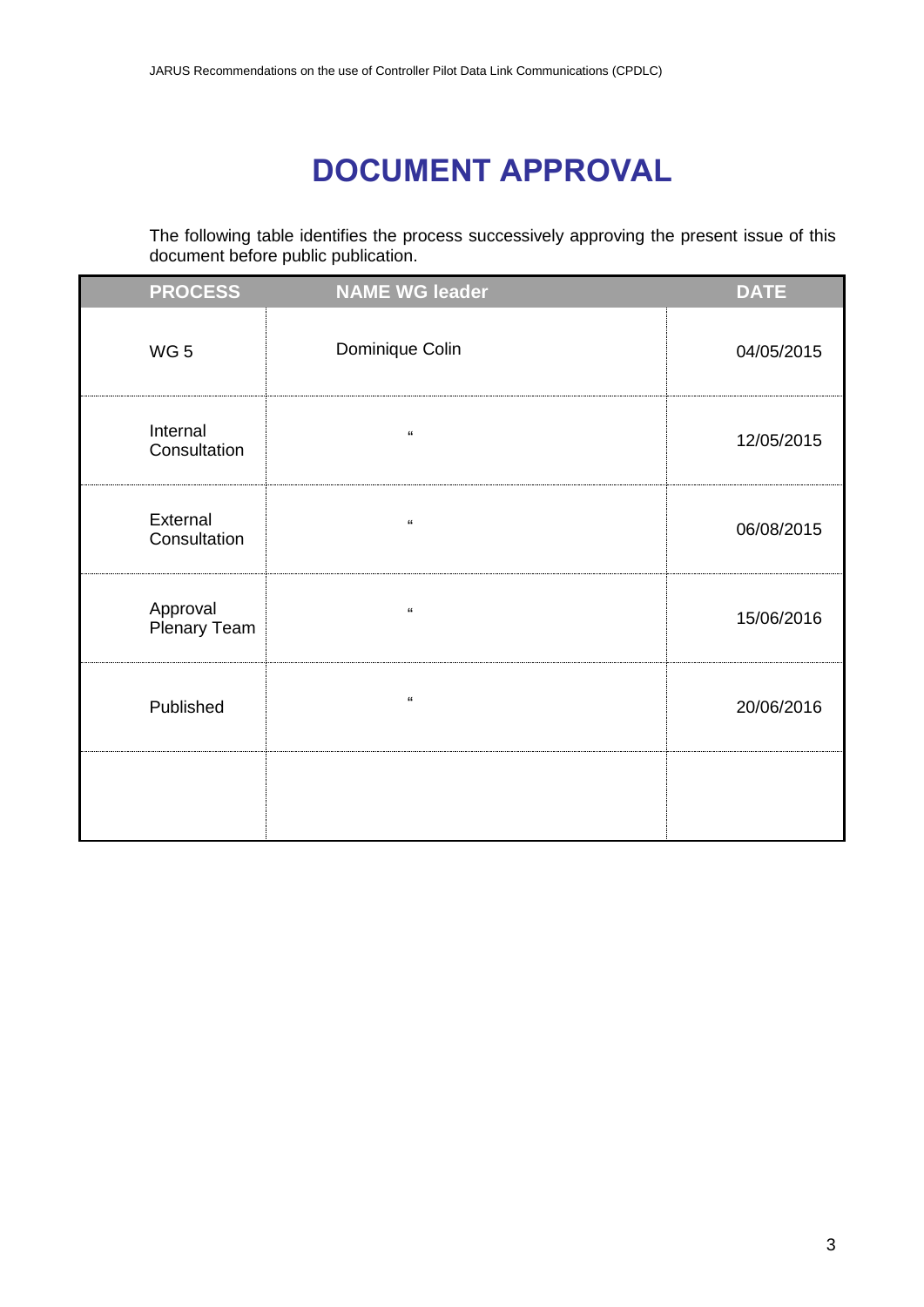## **DOCUMENT APPROVAL**

<span id="page-2-0"></span>The following table identifies the process successively approving the present issue of this document before public publication.

| <b>PROCESS</b>           | <b>NAME WG leader</b>                  | <b>DATE</b> |
|--------------------------|----------------------------------------|-------------|
| WG <sub>5</sub>          | Dominique Colin                        | 04/05/2015  |
| Internal<br>Consultation | $\pmb{\mathfrak{c}}\pmb{\mathfrak{c}}$ | 12/05/2015  |
| External<br>Consultation | $\boldsymbol{\mathfrak{c}}$            | 06/08/2015  |
| Approval<br>Plenary Team | $\epsilon$                             | 15/06/2016  |
| Published                | $\pmb{\mathfrak{c}}$                   | 20/06/2016  |
|                          |                                        |             |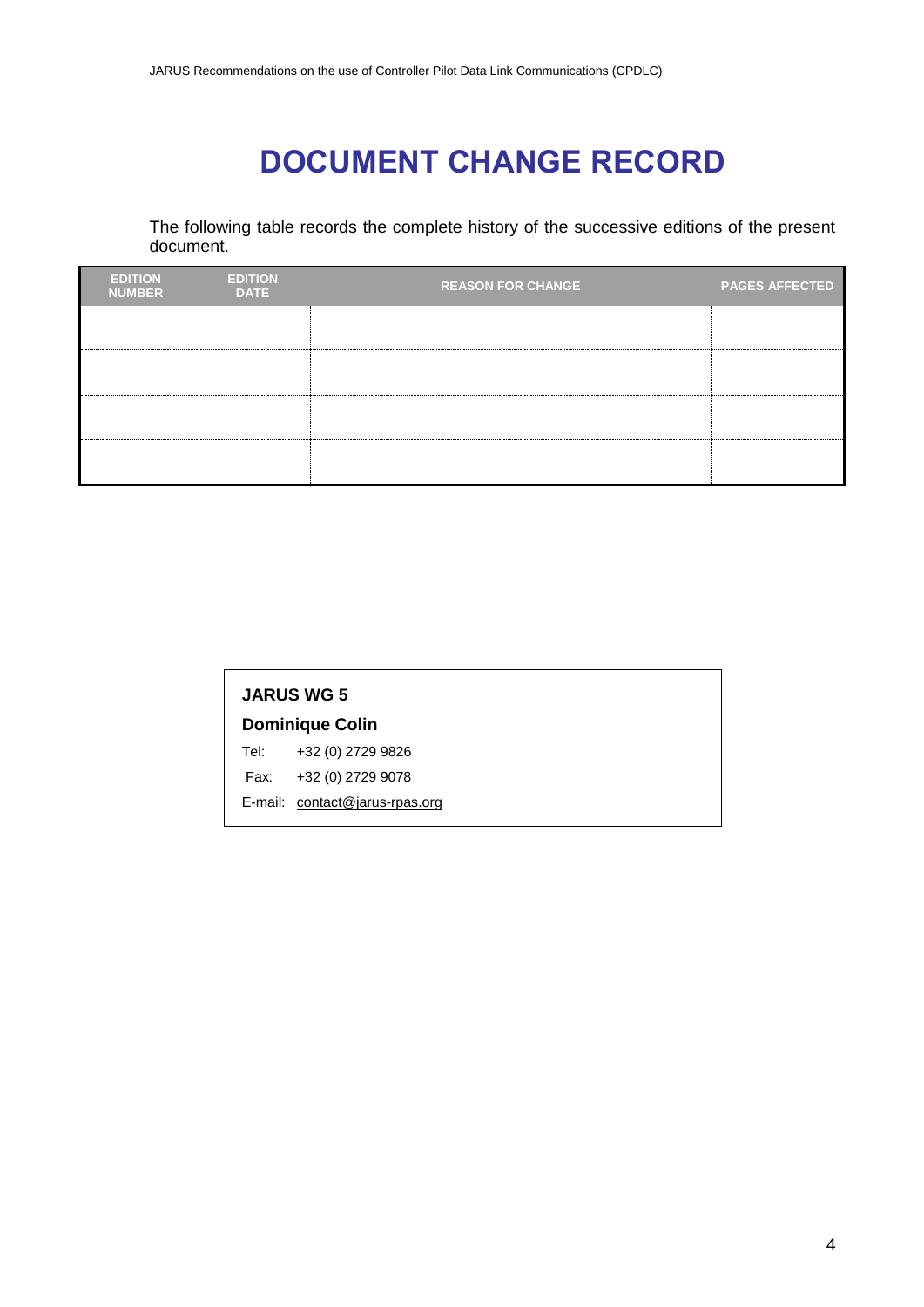## **DOCUMENT CHANGE RECORD**

<span id="page-3-0"></span>The following table records the complete history of the successive editions of the present document.

| <b>EDITION</b><br><b>NUMBER</b> | <b>EDITION</b><br><b>DATE</b> | <b>REASON FOR CHANGE</b> | <b>PAGES AFFECTED</b> |
|---------------------------------|-------------------------------|--------------------------|-----------------------|
|                                 |                               |                          |                       |
|                                 |                               |                          |                       |
|                                 |                               |                          |                       |
|                                 |                               |                          |                       |

| <b>JARUS WG 5</b> |                                |  |  |
|-------------------|--------------------------------|--|--|
|                   | <b>Dominique Colin</b>         |  |  |
|                   | Tel: +32 (0) 2729 9826         |  |  |
|                   | Fax: +32 (0) 2729 9078         |  |  |
|                   | E-mail: contact@jarus-rpas.org |  |  |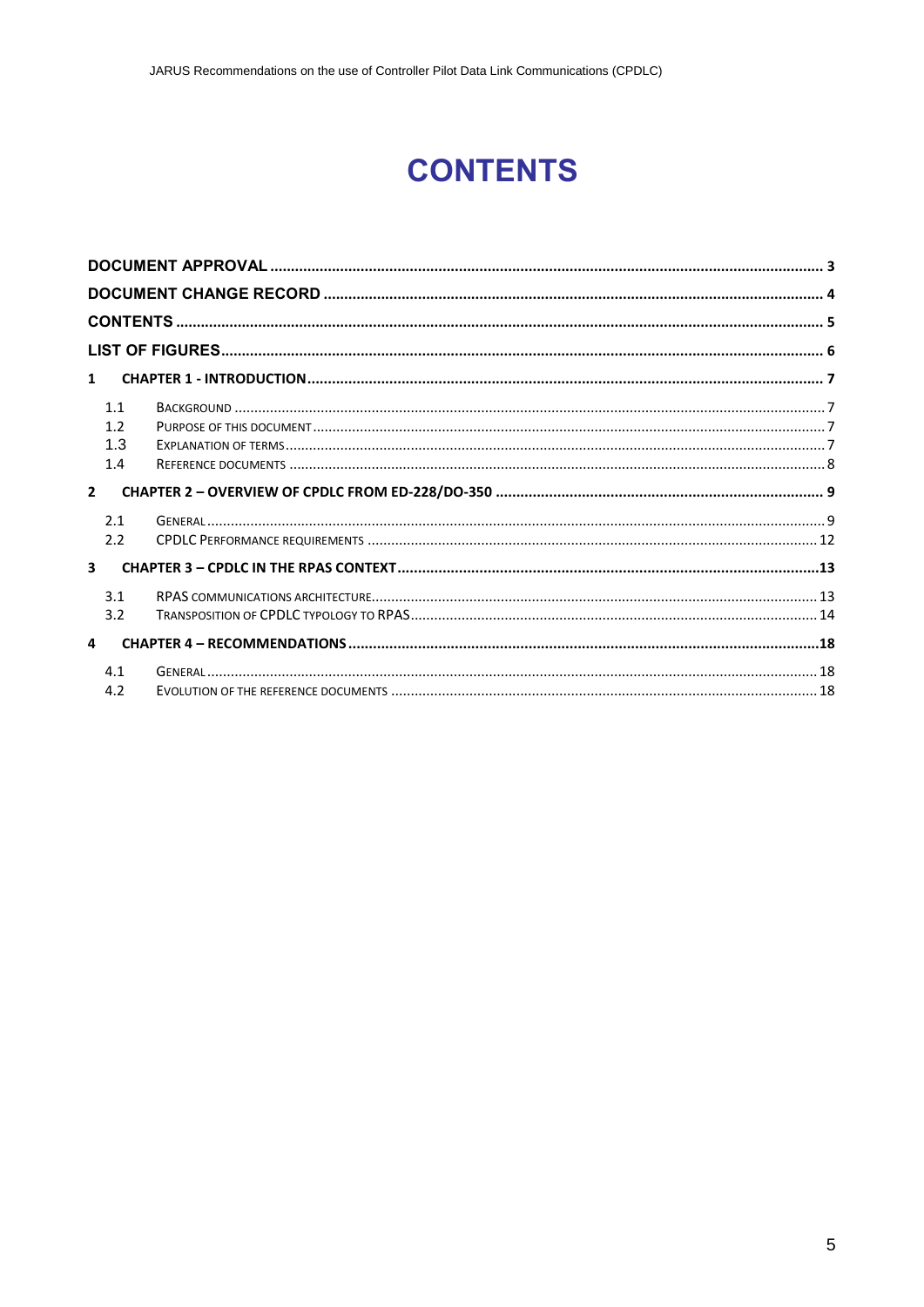## **CONTENTS**

<span id="page-4-0"></span>

| $\mathbf{1}$            |                |  |
|-------------------------|----------------|--|
|                         | 11             |  |
|                         | 1.2            |  |
|                         | 1.3            |  |
|                         | 1.4            |  |
|                         |                |  |
| $2^{\circ}$             |                |  |
|                         | 2.1            |  |
|                         | 2.2            |  |
| $\overline{\mathbf{3}}$ |                |  |
|                         | 3 <sub>1</sub> |  |
|                         | 3.2            |  |
| 4                       |                |  |
|                         | 4.1            |  |
|                         | 4.2            |  |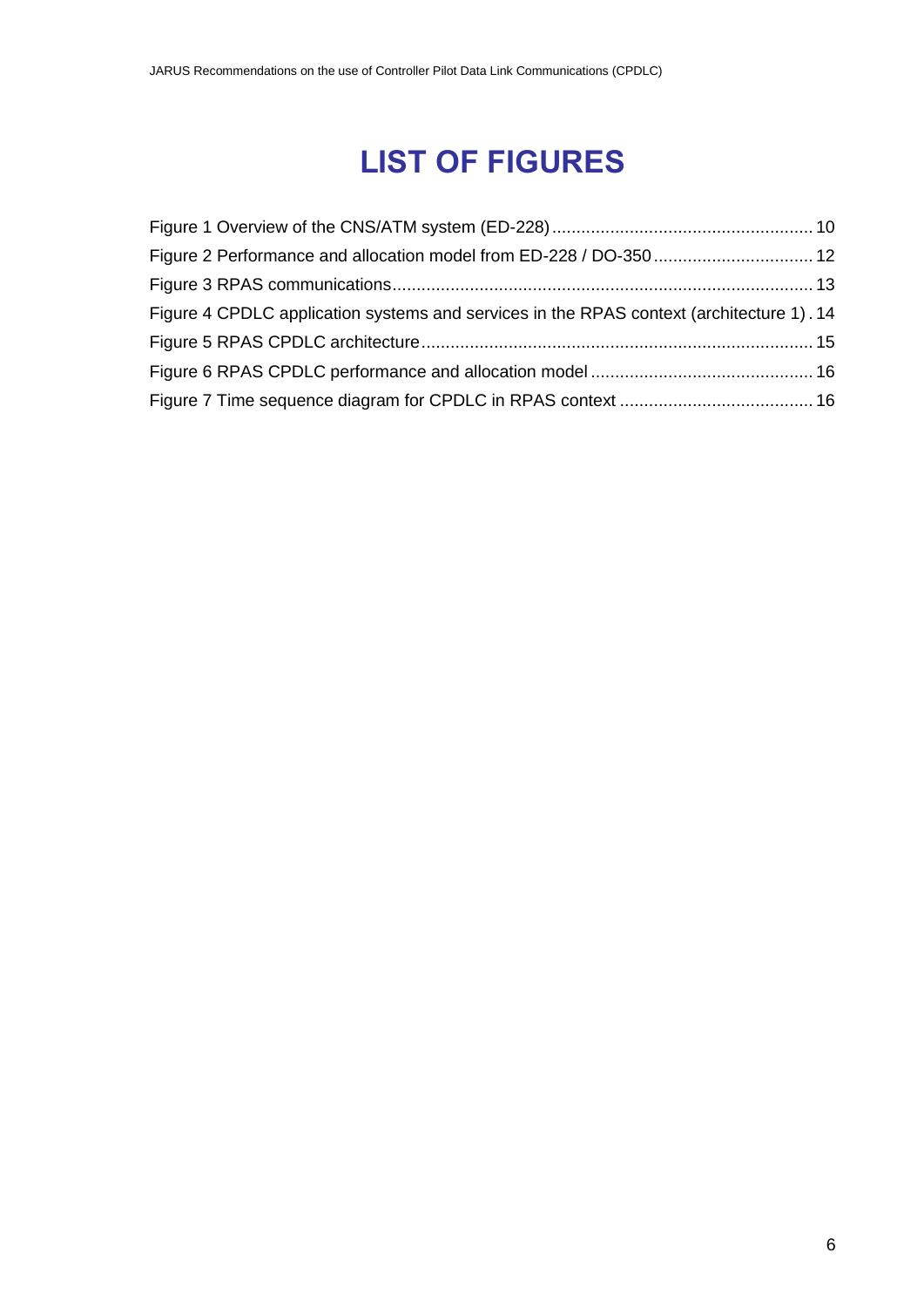## **LIST OF FIGURES**

<span id="page-5-0"></span>

| Figure 2 Performance and allocation model from ED-228 / DO-350  12                       |  |
|------------------------------------------------------------------------------------------|--|
|                                                                                          |  |
| Figure 4 CPDLC application systems and services in the RPAS context (architecture 1). 14 |  |
|                                                                                          |  |
|                                                                                          |  |
|                                                                                          |  |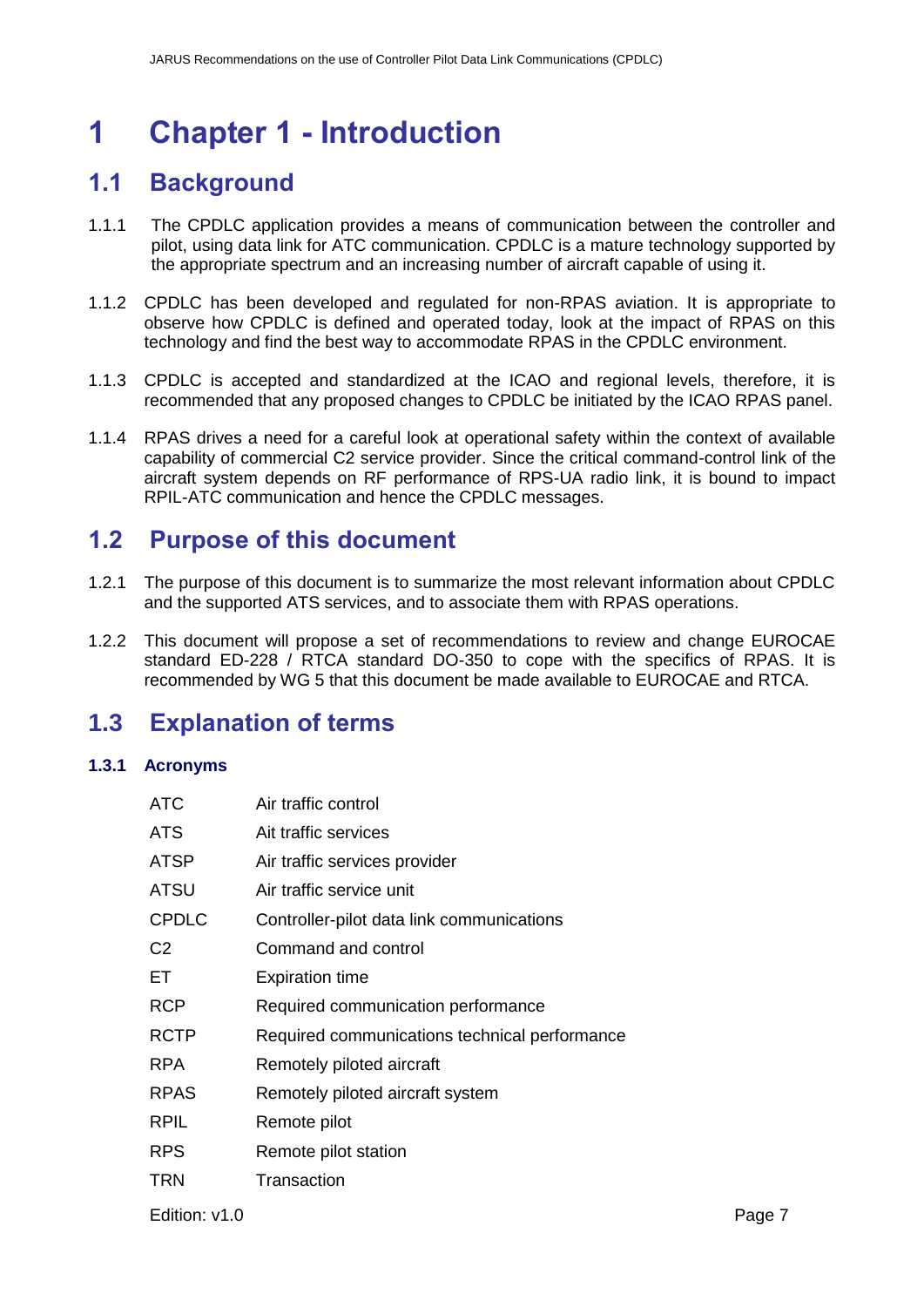## <span id="page-6-0"></span>**1 Chapter 1 - Introduction**

### <span id="page-6-1"></span>**1.1 Background**

- 1.1.1 The CPDLC application provides a means of communication between the controller and pilot, using data link for ATC communication. CPDLC is a mature technology supported by the appropriate spectrum and an increasing number of aircraft capable of using it.
- 1.1.2 CPDLC has been developed and regulated for non-RPAS aviation. It is appropriate to observe how CPDLC is defined and operated today, look at the impact of RPAS on this technology and find the best way to accommodate RPAS in the CPDLC environment.
- 1.1.3 CPDLC is accepted and standardized at the ICAO and regional levels, therefore, it is recommended that any proposed changes to CPDLC be initiated by the ICAO RPAS panel.
- 1.1.4 RPAS drives a need for a careful look at operational safety within the context of available capability of commercial C2 service provider. Since the critical command-control link of the aircraft system depends on RF performance of RPS-UA radio link, it is bound to impact RPIL-ATC communication and hence the CPDLC messages.

### <span id="page-6-2"></span>**1.2 Purpose of this document**

- 1.2.1 The purpose of this document is to summarize the most relevant information about CPDLC and the supported ATS services, and to associate them with RPAS operations.
- 1.2.2 This document will propose a set of recommendations to review and change EUROCAE standard ED-228 / RTCA standard DO-350 to cope with the specifics of RPAS. It is recommended by WG 5 that this document be made available to EUROCAE and RTCA.

### <span id="page-6-3"></span>**1.3 Explanation of terms**

#### **1.3.1 Acronyms**

| ATC            | Air traffic control                           |
|----------------|-----------------------------------------------|
| ATS            | Ait traffic services                          |
| ATSP           | Air traffic services provider                 |
| ATSU           | Air traffic service unit                      |
| <b>CPDLC</b>   | Controller-pilot data link communications     |
| C <sub>2</sub> | Command and control                           |
| EТ             | <b>Expiration time</b>                        |
| <b>RCP</b>     | Required communication performance            |
| <b>RCTP</b>    | Required communications technical performance |
| RPA.           | Remotely piloted aircraft                     |
| <b>RPAS</b>    | Remotely piloted aircraft system              |
| RPIL           | Remote pilot                                  |
| <b>RPS</b>     | Remote pilot station                          |
| TRN            | Transaction                                   |
|                |                                               |

Edition: v1.0 Page 7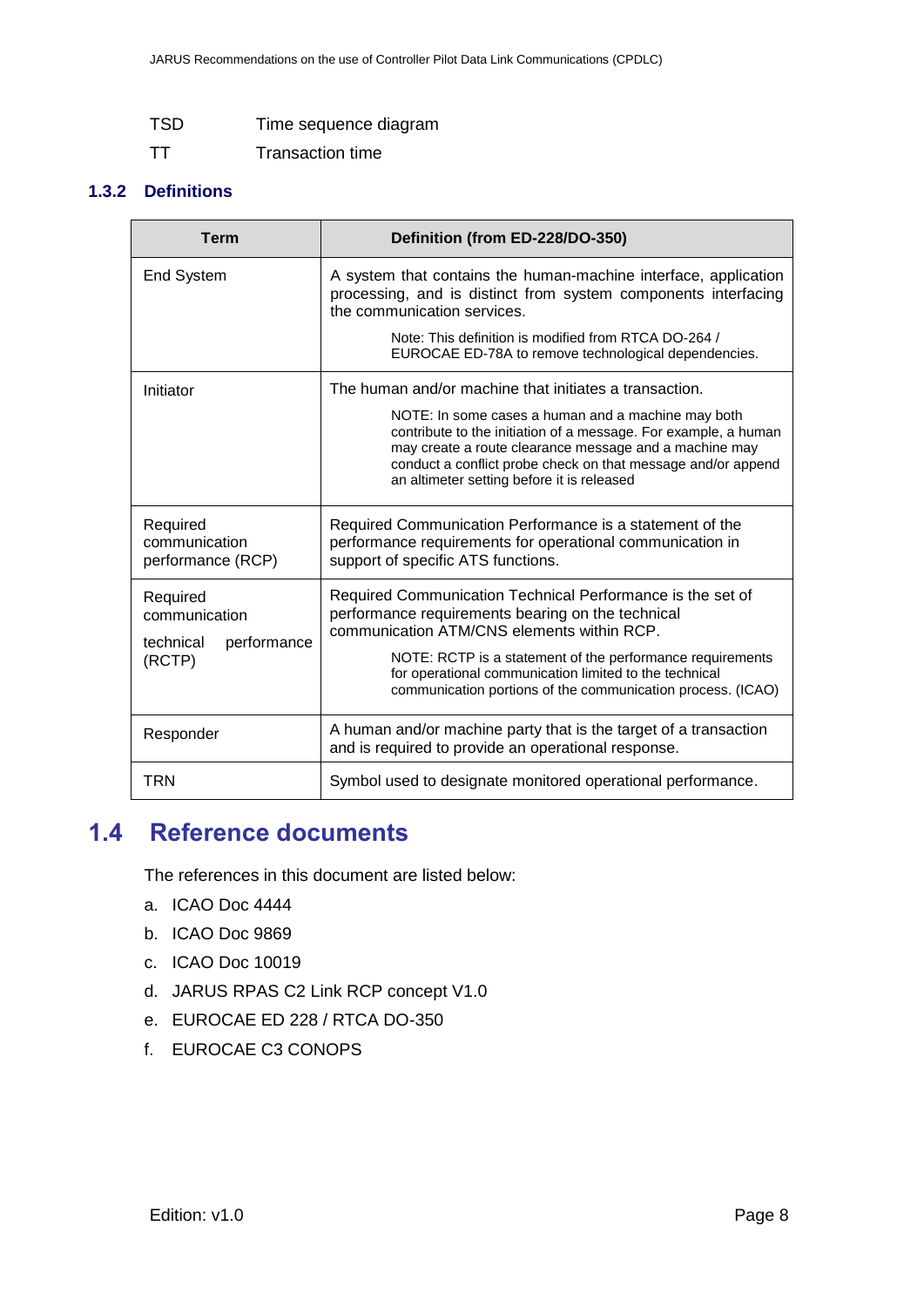| <b>TSD</b> | Time sequence diagram   |
|------------|-------------------------|
| <b>TT</b>  | <b>Transaction time</b> |

#### **1.3.2 Definitions**

| <b>Term</b>                                           | Definition (from ED-228/DO-350)                                                                                                                                                                                                                                                                                                                         |
|-------------------------------------------------------|---------------------------------------------------------------------------------------------------------------------------------------------------------------------------------------------------------------------------------------------------------------------------------------------------------------------------------------------------------|
| <b>End System</b>                                     | A system that contains the human-machine interface, application<br>processing, and is distinct from system components interfacing<br>the communication services.                                                                                                                                                                                        |
|                                                       | Note: This definition is modified from RTCA DO-264 /<br>EUROCAE ED-78A to remove technological dependencies.                                                                                                                                                                                                                                            |
| Initiator                                             | The human and/or machine that initiates a transaction.<br>NOTE: In some cases a human and a machine may both<br>contribute to the initiation of a message. For example, a human<br>may create a route clearance message and a machine may<br>conduct a conflict probe check on that message and/or append<br>an altimeter setting before it is released |
| Required<br>communication<br>performance (RCP)        | Required Communication Performance is a statement of the<br>performance requirements for operational communication in<br>support of specific ATS functions.                                                                                                                                                                                             |
| Required<br>communication<br>performance<br>technical | Required Communication Technical Performance is the set of<br>performance requirements bearing on the technical<br>communication ATM/CNS elements within RCP.                                                                                                                                                                                           |
| (RCTP)                                                | NOTE: RCTP is a statement of the performance requirements<br>for operational communication limited to the technical<br>communication portions of the communication process. (ICAO)                                                                                                                                                                      |
| Responder                                             | A human and/or machine party that is the target of a transaction<br>and is required to provide an operational response.                                                                                                                                                                                                                                 |
| TRN                                                   | Symbol used to designate monitored operational performance.                                                                                                                                                                                                                                                                                             |

### <span id="page-7-0"></span>**1.4 Reference documents**

The references in this document are listed below:

- a. ICAO Doc 4444
- b. ICAO Doc 9869
- c. ICAO Doc 10019
- d. JARUS RPAS C2 Link RCP concept V1.0
- e. EUROCAE ED 228 / RTCA DO-350
- f. EUROCAE C3 CONOPS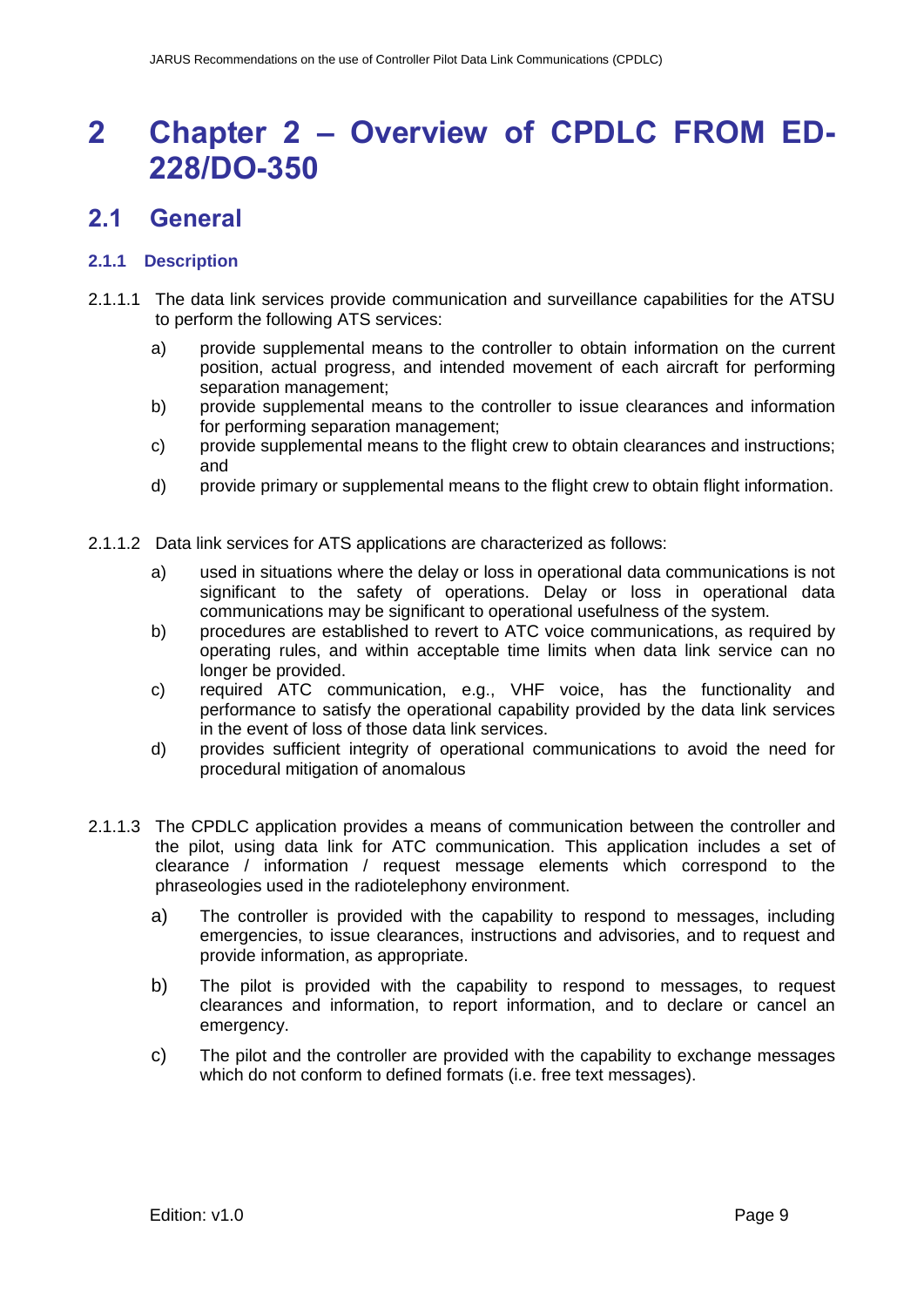## <span id="page-8-0"></span>**2 Chapter 2 – Overview of CPDLC FROM ED-228/DO-350**

### <span id="page-8-1"></span>**2.1 General**

#### **2.1.1 Description**

- 2.1.1.1 The data link services provide communication and surveillance capabilities for the ATSU to perform the following ATS services:
	- a) provide supplemental means to the controller to obtain information on the current position, actual progress, and intended movement of each aircraft for performing separation management;
	- b) provide supplemental means to the controller to issue clearances and information for performing separation management;
	- c) provide supplemental means to the flight crew to obtain clearances and instructions; and
	- d) provide primary or supplemental means to the flight crew to obtain flight information.
- 2.1.1.2 Data link services for ATS applications are characterized as follows:
	- a) used in situations where the delay or loss in operational data communications is not significant to the safety of operations. Delay or loss in operational data communications may be significant to operational usefulness of the system.
	- b) procedures are established to revert to ATC voice communications, as required by operating rules, and within acceptable time limits when data link service can no longer be provided.
	- c) required ATC communication, e.g., VHF voice, has the functionality and performance to satisfy the operational capability provided by the data link services in the event of loss of those data link services.
	- d) provides sufficient integrity of operational communications to avoid the need for procedural mitigation of anomalous
- 2.1.1.3 The CPDLC application provides a means of communication between the controller and the pilot, using data link for ATC communication. This application includes a set of clearance / information / request message elements which correspond to the phraseologies used in the radiotelephony environment.
	- a) The controller is provided with the capability to respond to messages, including emergencies, to issue clearances, instructions and advisories, and to request and provide information, as appropriate.
	- b) The pilot is provided with the capability to respond to messages, to request clearances and information, to report information, and to declare or cancel an emergency.
	- c) The pilot and the controller are provided with the capability to exchange messages which do not conform to defined formats (i.e. free text messages).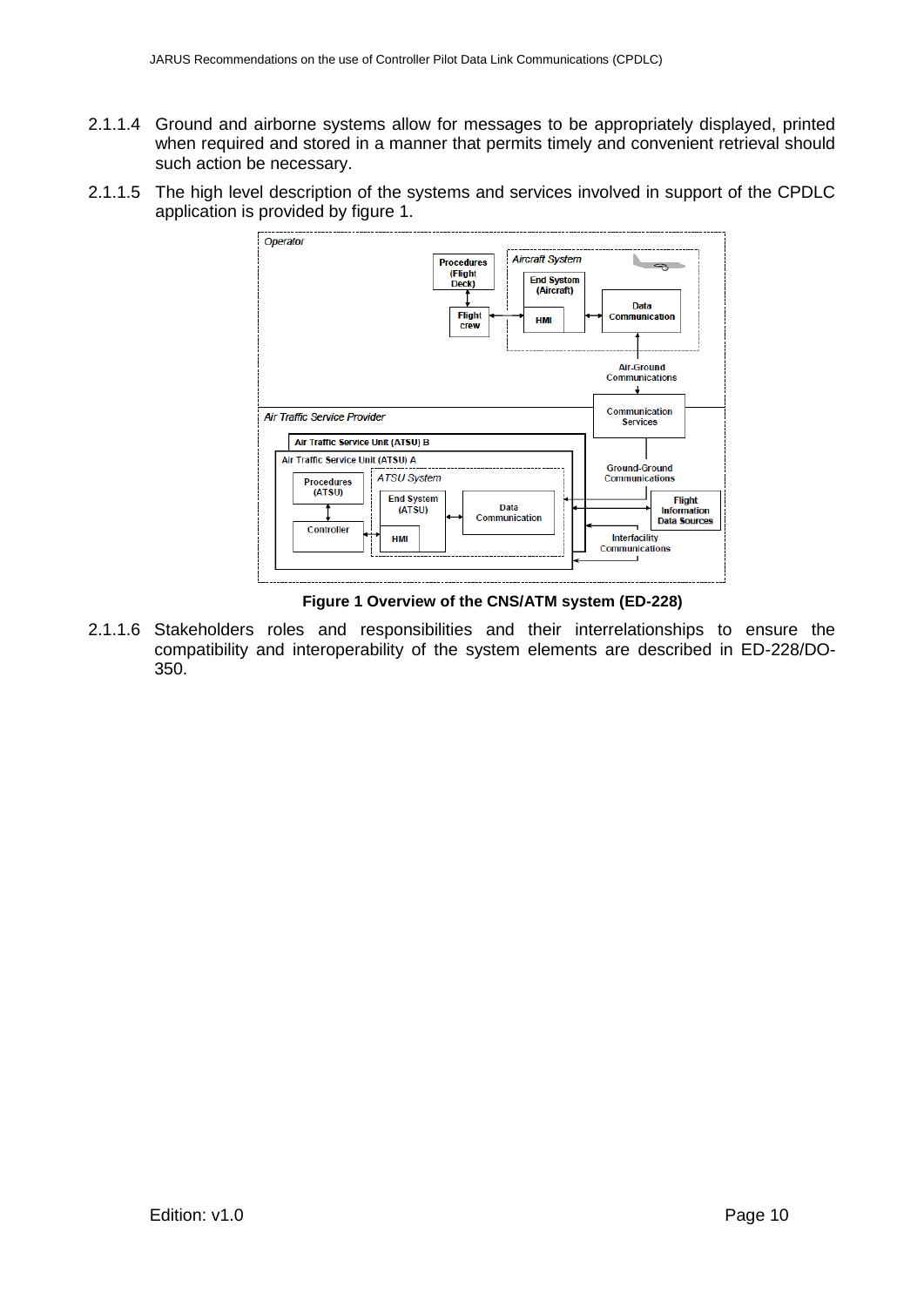- 2.1.1.4 Ground and airborne systems allow for messages to be appropriately displayed, printed when required and stored in a manner that permits timely and convenient retrieval should such action be necessary.
- 2.1.1.5 The high level description of the systems and services involved in support of the CPDLC application is provided by figure 1.



**Figure 1 Overview of the CNS/ATM system (ED-228)**

<span id="page-9-0"></span>2.1.1.6 Stakeholders roles and responsibilities and their interrelationships to ensure the compatibility and interoperability of the system elements are described in ED-228/DO-350.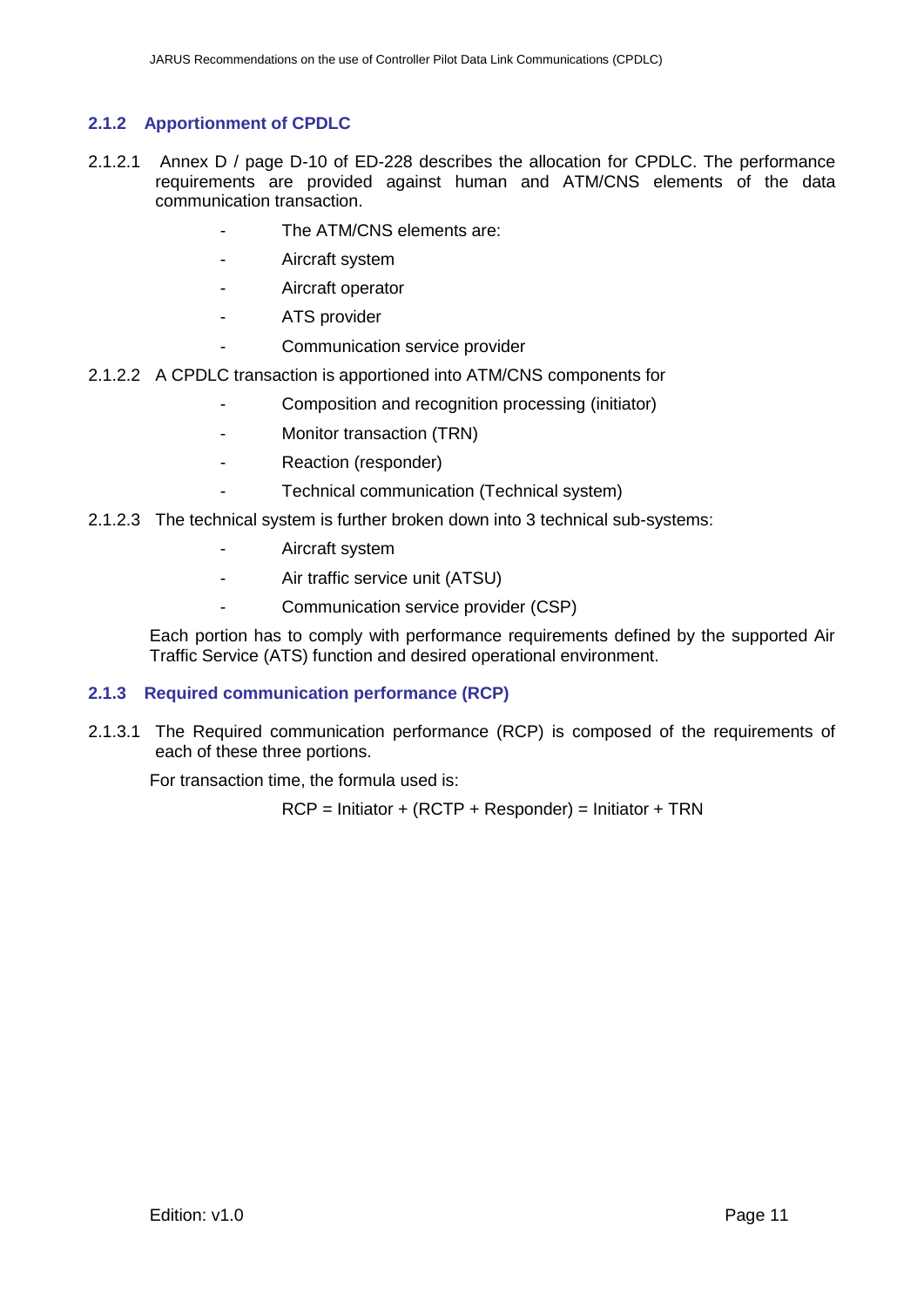#### **2.1.2 Apportionment of CPDLC**

- 2.1.2.1 Annex D / page D-10 of ED-228 describes the allocation for CPDLC. The performance requirements are provided against human and ATM/CNS elements of the data communication transaction.
	- The ATM/CNS elements are:
	- Aircraft system
	- Aircraft operator
	- ATS provider
	- Communication service provider
- 2.1.2.2 A CPDLC transaction is apportioned into ATM/CNS components for
	- Composition and recognition processing (initiator)
	- Monitor transaction (TRN)
	- Reaction (responder)
		- Technical communication (Technical system)
- 2.1.2.3 The technical system is further broken down into 3 technical sub-systems:
	- Aircraft system
	- Air traffic service unit (ATSU)
	- Communication service provider (CSP)

Each portion has to comply with performance requirements defined by the supported Air Traffic Service (ATS) function and desired operational environment.

#### **2.1.3 Required communication performance (RCP)**

2.1.3.1 The Required communication performance (RCP) is composed of the requirements of each of these three portions.

For transaction time, the formula used is:

 $RCP =$  Initiator + (RCTP + Responder) = Initiator + TRN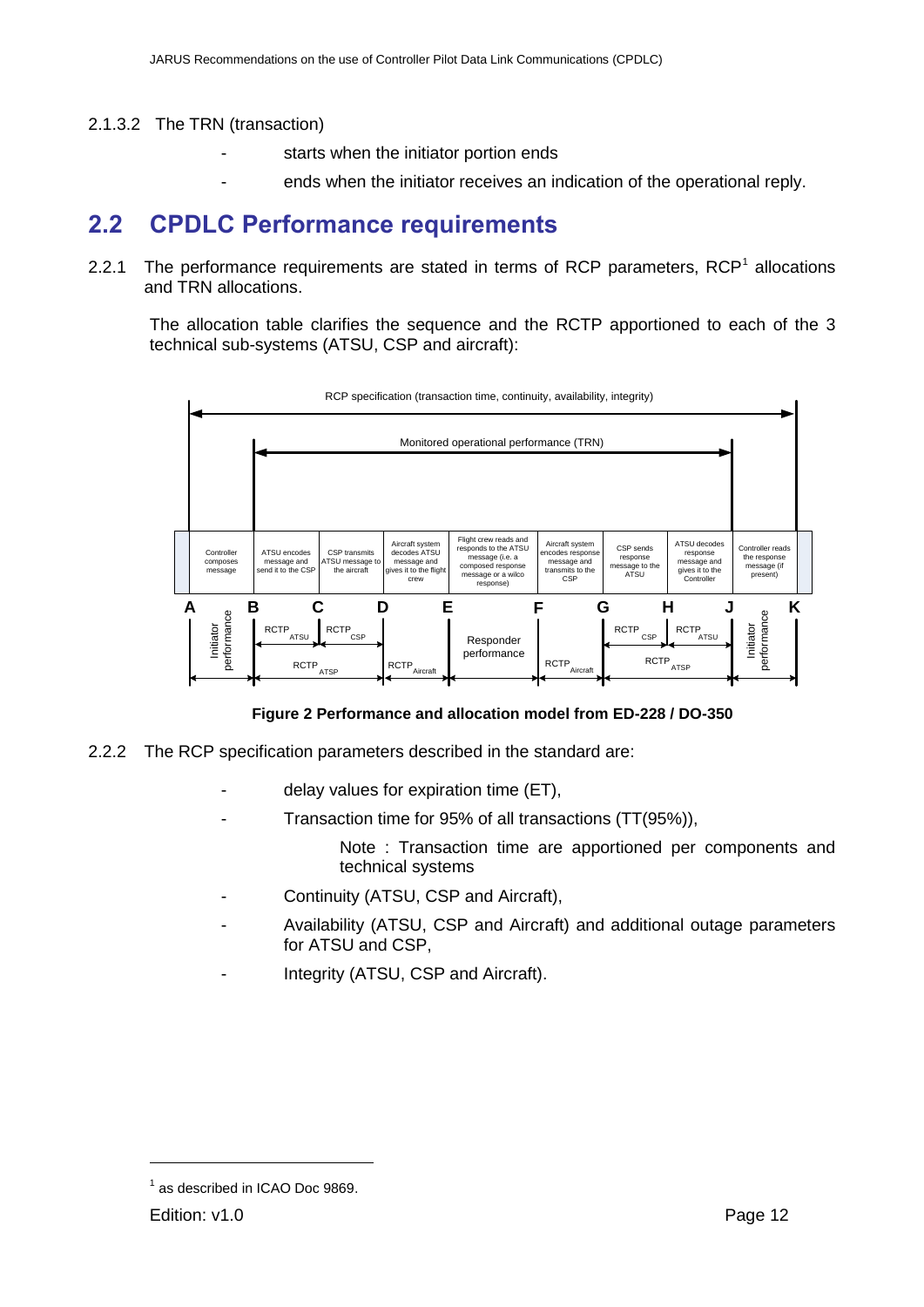#### 2.1.3.2 The TRN (transaction)

- starts when the initiator portion ends
- ends when the initiator receives an indication of the operational reply.

### <span id="page-11-0"></span>**2.2 CPDLC Performance requirements**

2.2.1 The performance requirements are stated in terms of RCP parameters,  $RCP<sup>1</sup>$  allocations and TRN allocations.

The allocation table clarifies the sequence and the RCTP apportioned to each of the 3 technical sub-systems (ATSU, CSP and aircraft):



**Figure 2 Performance and allocation model from ED-228 / DO-350**

- <span id="page-11-1"></span>2.2.2 The RCP specification parameters described in the standard are:
	- delay values for expiration time (ET),
	- Transaction time for 95% of all transactions (TT(95%)),

Note : Transaction time are apportioned per components and technical systems

- Continuity (ATSU, CSP and Aircraft),
- Availability (ATSU, CSP and Aircraft) and additional outage parameters for ATSU and CSP,
- Integrity (ATSU, CSP and Aircraft).

 $\overline{a}$ 

<sup>&</sup>lt;sup>1</sup> as described in ICAO Doc 9869.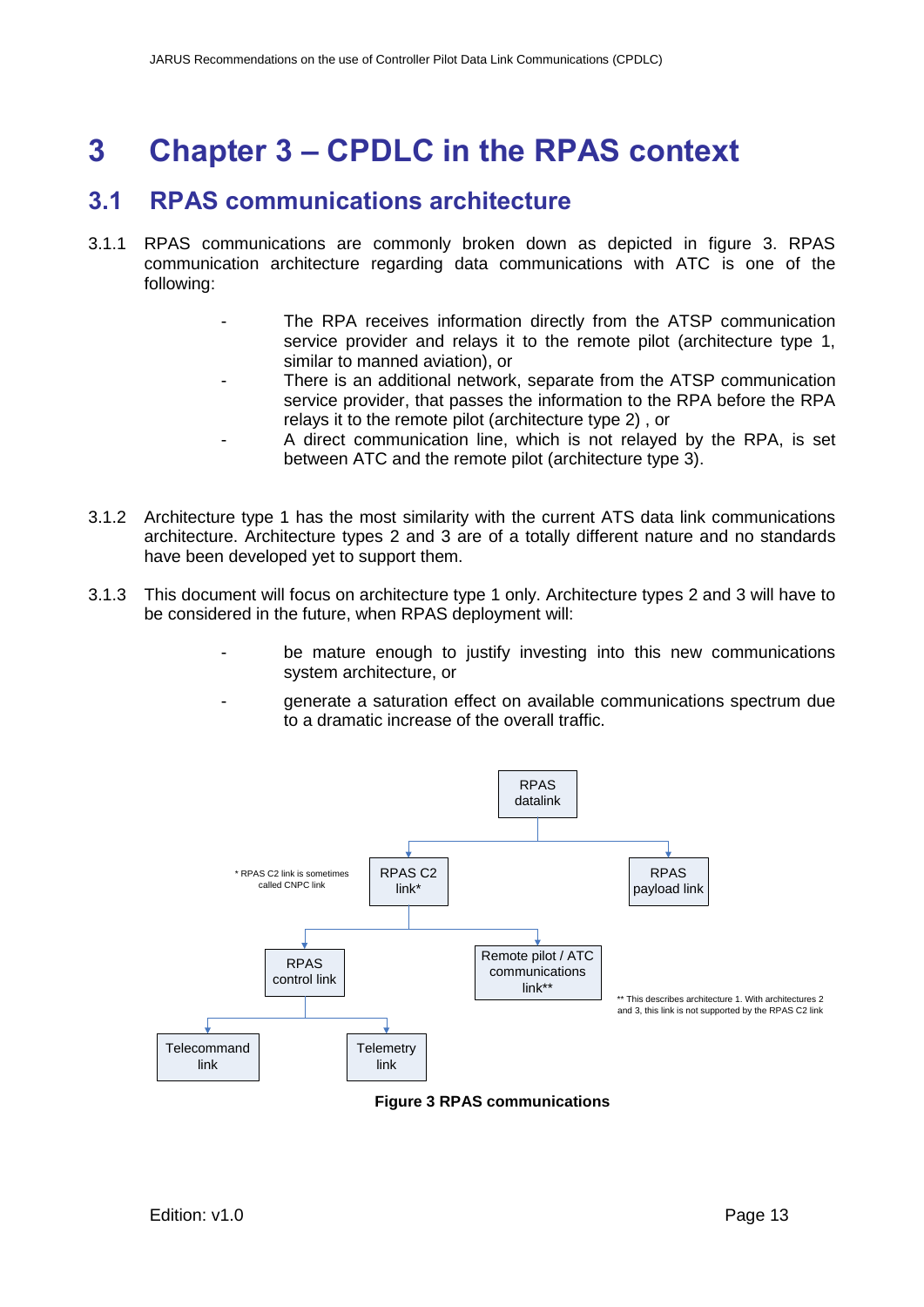## <span id="page-12-0"></span>**3 Chapter 3 – CPDLC in the RPAS context**

### <span id="page-12-1"></span>**3.1 RPAS communications architecture**

- 3.1.1 RPAS communications are commonly broken down as depicted in figure 3. RPAS communication architecture regarding data communications with ATC is one of the following:
	- The RPA receives information directly from the ATSP communication service provider and relays it to the remote pilot (architecture type 1, similar to manned aviation), or
	- There is an additional network, separate from the ATSP communication service provider, that passes the information to the RPA before the RPA relays it to the remote pilot (architecture type 2) , or
	- A direct communication line, which is not relayed by the RPA, is set between ATC and the remote pilot (architecture type 3).
- 3.1.2 Architecture type 1 has the most similarity with the current ATS data link communications architecture. Architecture types 2 and 3 are of a totally different nature and no standards have been developed yet to support them.
- 3.1.3 This document will focus on architecture type 1 only. Architecture types 2 and 3 will have to be considered in the future, when RPAS deployment will:
	- be mature enough to justify investing into this new communications system architecture, or
	- generate a saturation effect on available communications spectrum due to a dramatic increase of the overall traffic.



<span id="page-12-2"></span>**Figure 3 RPAS communications**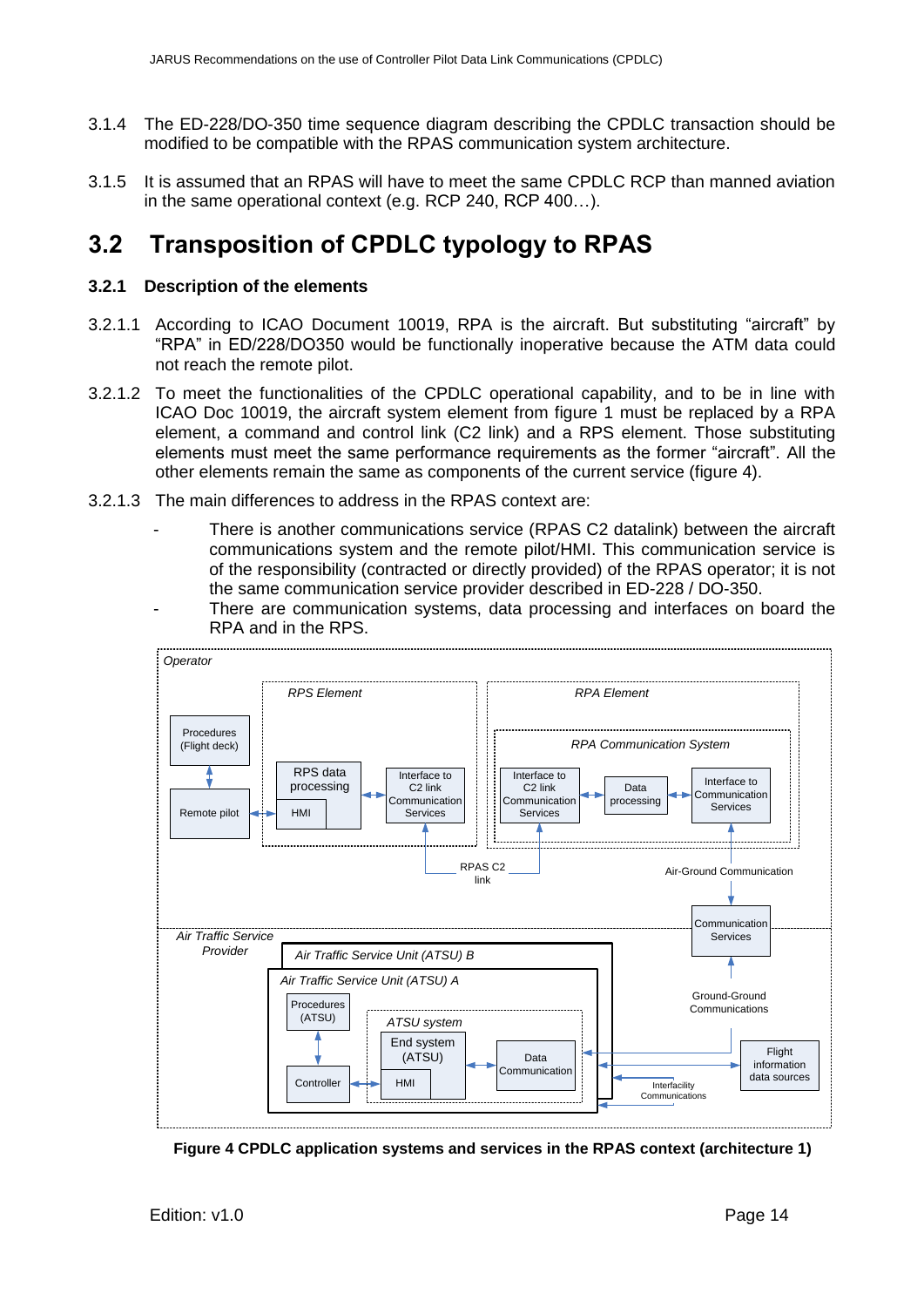- 3.1.4 The ED-228/DO-350 time sequence diagram describing the CPDLC transaction should be modified to be compatible with the RPAS communication system architecture.
- 3.1.5 It is assumed that an RPAS will have to meet the same CPDLC RCP than manned aviation in the same operational context (e.g. RCP 240, RCP 400…).

### <span id="page-13-0"></span>**3.2 Transposition of CPDLC typology to RPAS**

#### **3.2.1 Description of the elements**

- 3.2.1.1 According to ICAO Document 10019, RPA is the aircraft. But substituting "aircraft" by "RPA" in ED/228/DO350 would be functionally inoperative because the ATM data could not reach the remote pilot.
- 3.2.1.2 To meet the functionalities of the CPDLC operational capability, and to be in line with ICAO Doc 10019, the aircraft system element from figure 1 must be replaced by a RPA element, a command and control link (C2 link) and a RPS element. Those substituting elements must meet the same performance requirements as the former "aircraft". All the other elements remain the same as components of the current service (figure 4).
- 3.2.1.3 The main differences to address in the RPAS context are:
	- There is another communications service (RPAS C2 datalink) between the aircraft communications system and the remote pilot/HMI. This communication service is of the responsibility (contracted or directly provided) of the RPAS operator; it is not the same communication service provider described in ED-228 / DO-350.
	- There are communication systems, data processing and interfaces on board the RPA and in the RPS.



<span id="page-13-1"></span>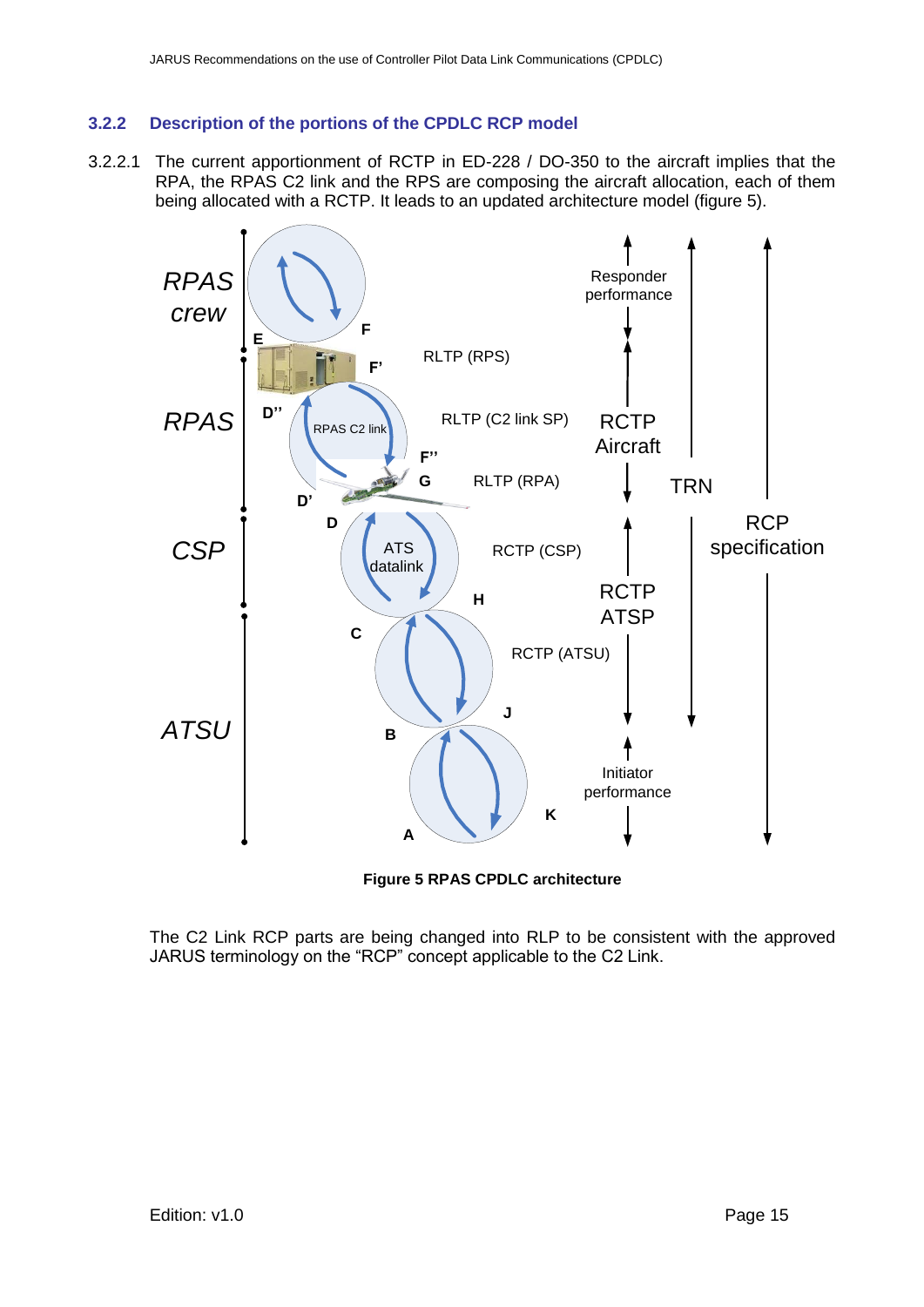#### **3.2.2 Description of the portions of the CPDLC RCP model**

3.2.2.1 The current apportionment of RCTP in ED-228 / DO-350 to the aircraft implies that the RPA, the RPAS C2 link and the RPS are composing the aircraft allocation, each of them being allocated with a RCTP. It leads to an updated architecture model (figure 5).



**Figure 5 RPAS CPDLC architecture**

<span id="page-14-0"></span>The C2 Link RCP parts are being changed into RLP to be consistent with the approved JARUS terminology on the "RCP" concept applicable to the C2 Link.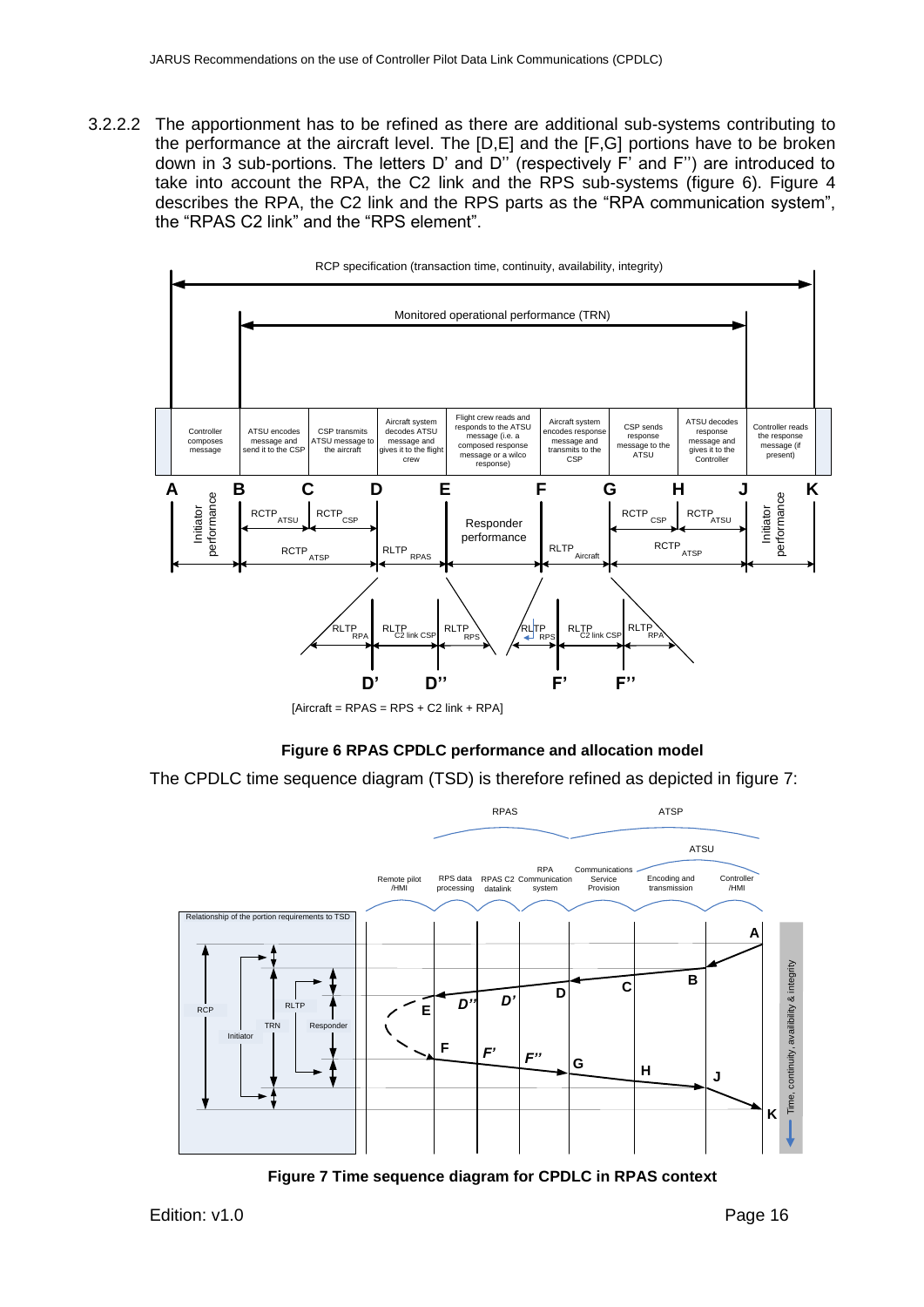3.2.2.2 The apportionment has to be refined as there are additional sub-systems contributing to the performance at the aircraft level. The [D,E] and the [F,G] portions have to be broken down in 3 sub-portions. The letters D' and D'' (respectively F' and F'') are introduced to take into account the RPA, the C2 link and the RPS sub-systems (figure 6). Figure 4 describes the RPA, the C2 link and the RPS parts as the "RPA communication system", the "RPAS C2 link" and the "RPS element".



#### **Figure 6 RPAS CPDLC performance and allocation model**

<span id="page-15-0"></span>The CPDLC time sequence diagram (TSD) is therefore refined as depicted in figure 7:



<span id="page-15-1"></span>**Figure 7 Time sequence diagram for CPDLC in RPAS context**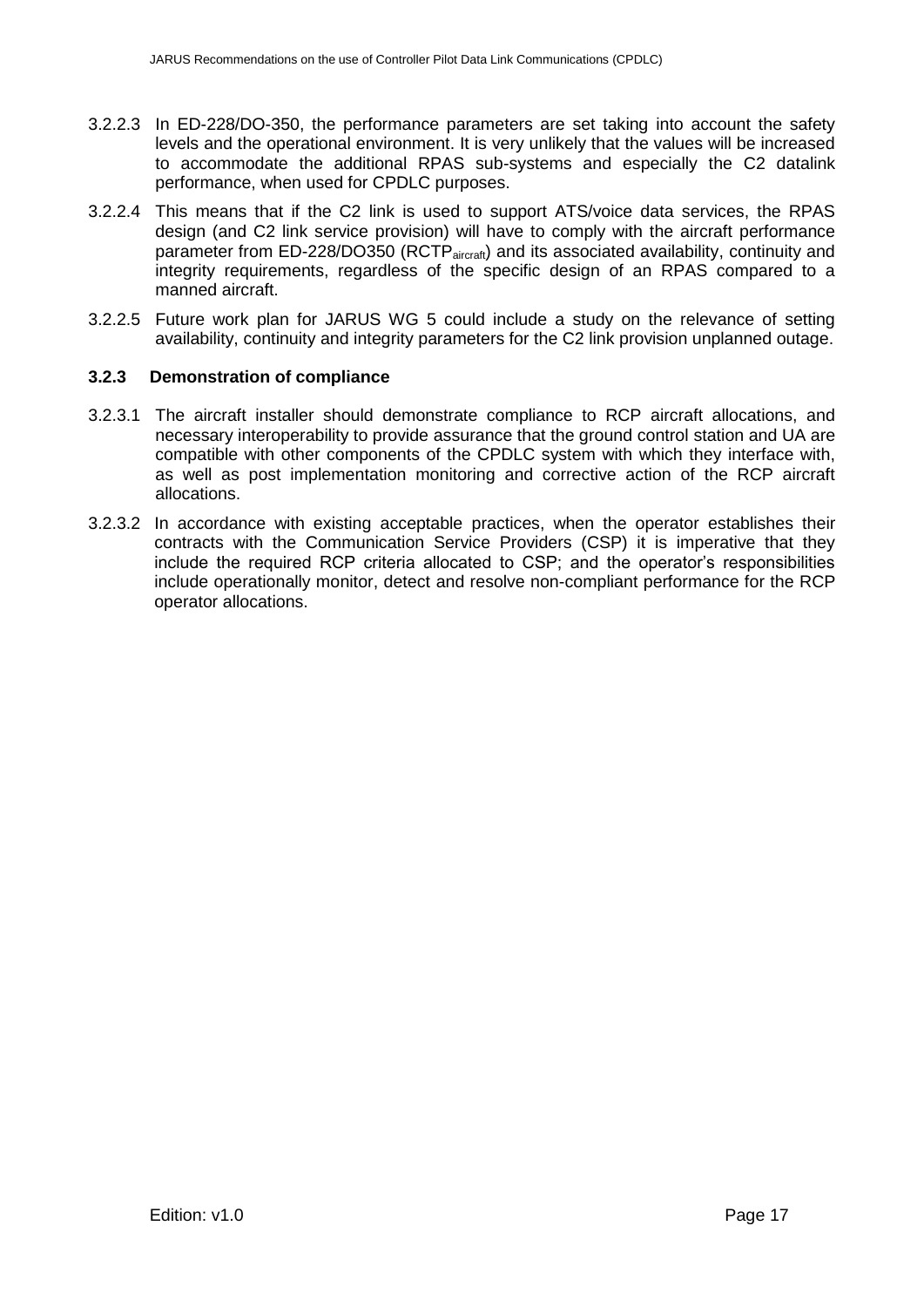- 3.2.2.3 In ED-228/DO-350, the performance parameters are set taking into account the safety levels and the operational environment. It is very unlikely that the values will be increased to accommodate the additional RPAS sub-systems and especially the C2 datalink performance, when used for CPDLC purposes.
- 3.2.2.4 This means that if the C2 link is used to support ATS/voice data services, the RPAS design (and C2 link service provision) will have to comply with the aircraft performance parameter from ED-228/DO350 (RCTP<sub>aircraft</sub>) and its associated availability, continuity and integrity requirements, regardless of the specific design of an RPAS compared to a manned aircraft.
- 3.2.2.5 Future work plan for JARUS WG 5 could include a study on the relevance of setting availability, continuity and integrity parameters for the C2 link provision unplanned outage.

#### **3.2.3 Demonstration of compliance**

- 3.2.3.1 The aircraft installer should demonstrate compliance to RCP aircraft allocations, and necessary interoperability to provide assurance that the ground control station and UA are compatible with other components of the CPDLC system with which they interface with, as well as post implementation monitoring and corrective action of the RCP aircraft allocations.
- 3.2.3.2 In accordance with existing acceptable practices, when the operator establishes their contracts with the Communication Service Providers (CSP) it is imperative that they include the required RCP criteria allocated to CSP; and the operator's responsibilities include operationally monitor, detect and resolve non-compliant performance for the RCP operator allocations.